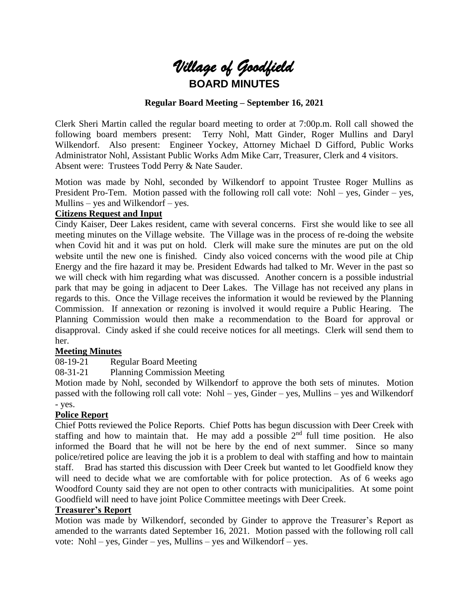

## **Regular Board Meeting – September 16, 2021**

Clerk Sheri Martin called the regular board meeting to order at 7:00p.m. Roll call showed the following board members present: Terry Nohl, Matt Ginder, Roger Mullins and Daryl Wilkendorf. Also present: Engineer Yockey, Attorney Michael D Gifford, Public Works Administrator Nohl, Assistant Public Works Adm Mike Carr, Treasurer, Clerk and 4 visitors. Absent were: Trustees Todd Perry & Nate Sauder.

Motion was made by Nohl, seconded by Wilkendorf to appoint Trustee Roger Mullins as President Pro-Tem. Motion passed with the following roll call vote: Nohl – yes, Ginder – yes, Mullins – yes and Wilkendorf – yes.

#### **Citizens Request and Input**

Cindy Kaiser, Deer Lakes resident, came with several concerns. First she would like to see all meeting minutes on the Village website. The Village was in the process of re-doing the website when Covid hit and it was put on hold. Clerk will make sure the minutes are put on the old website until the new one is finished. Cindy also voiced concerns with the wood pile at Chip Energy and the fire hazard it may be. President Edwards had talked to Mr. Wever in the past so we will check with him regarding what was discussed. Another concern is a possible industrial park that may be going in adjacent to Deer Lakes. The Village has not received any plans in regards to this. Once the Village receives the information it would be reviewed by the Planning Commission. If annexation or rezoning is involved it would require a Public Hearing. The Planning Commission would then make a recommendation to the Board for approval or disapproval. Cindy asked if she could receive notices for all meetings. Clerk will send them to her.

## **Meeting Minutes**

08-19-21 Regular Board Meeting

08-31-21 Planning Commission Meeting

Motion made by Nohl, seconded by Wilkendorf to approve the both sets of minutes. Motion passed with the following roll call vote: Nohl – yes, Ginder – yes, Mullins – yes and Wilkendorf - yes.

## **Police Report**

Chief Potts reviewed the Police Reports. Chief Potts has begun discussion with Deer Creek with staffing and how to maintain that. He may add a possible  $2<sup>nd</sup>$  full time position. He also informed the Board that he will not be here by the end of next summer. Since so many police/retired police are leaving the job it is a problem to deal with staffing and how to maintain staff. Brad has started this discussion with Deer Creek but wanted to let Goodfield know they will need to decide what we are comfortable with for police protection. As of 6 weeks ago Woodford County said they are not open to other contracts with municipalities. At some point Goodfield will need to have joint Police Committee meetings with Deer Creek.

## **Treasurer's Report**

Motion was made by Wilkendorf, seconded by Ginder to approve the Treasurer's Report as amended to the warrants dated September 16, 2021. Motion passed with the following roll call vote: Nohl – yes, Ginder – yes, Mullins – yes and Wilkendorf – yes.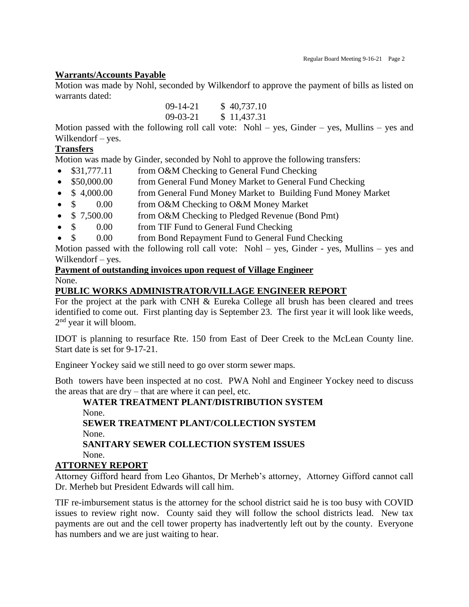## **Warrants/Accounts Payable**

Motion was made by Nohl, seconded by Wilkendorf to approve the payment of bills as listed on warrants dated:

| $09-14-21$ | \$40,737.10 |
|------------|-------------|
| $09-03-21$ | \$11,437.31 |

Motion passed with the following roll call vote:  $Nohl - yes$ , Ginder – yes, Mullins – yes and Wilkendorf – yes.

# **Transfers**

Motion was made by Ginder, seconded by Nohl to approve the following transfers:

- \$31,777.11 from O&M Checking to General Fund Checking
- \$50,000.00 from General Fund Money Market to General Fund Checking
- \$ 4,000.00 from General Fund Money Market to Building Fund Money Market
- \$ 0.00 from O&M Checking to O&M Money Market
- \$ 7,500.00 from O&M Checking to Pledged Revenue (Bond Pmt)
- \$ 0.00 from TIF Fund to General Fund Checking
- \$ 0.00 from Bond Repayment Fund to General Fund Checking

Motion passed with the following roll call vote: Nohl – yes, Ginder - yes, Mullins – yes and Wilkendorf – yes.

# **Payment of outstanding invoices upon request of Village Engineer**

# None.

## **PUBLIC WORKS ADMINISTRATOR/VILLAGE ENGINEER REPORT**

For the project at the park with CNH & Eureka College all brush has been cleared and trees identified to come out. First planting day is September 23. The first year it will look like weeds, 2<sup>nd</sup> year it will bloom.

IDOT is planning to resurface Rte. 150 from East of Deer Creek to the McLean County line. Start date is set for 9-17-21.

Engineer Yockey said we still need to go over storm sewer maps.

Both towers have been inspected at no cost. PWA Nohl and Engineer Yockey need to discuss the areas that are dry – that are where it can peel, etc.

# **WATER TREATMENT PLANT/DISTRIBUTION SYSTEM** None.

**SEWER TREATMENT PLANT/COLLECTION SYSTEM** None.

**SANITARY SEWER COLLECTION SYSTEM ISSUES** None.

## **ATTORNEY REPORT**

Attorney Gifford heard from Leo Ghantos, Dr Merheb's attorney, Attorney Gifford cannot call Dr. Merheb but President Edwards will call him.

TIF re-imbursement status is the attorney for the school district said he is too busy with COVID issues to review right now. County said they will follow the school districts lead. New tax payments are out and the cell tower property has inadvertently left out by the county. Everyone has numbers and we are just waiting to hear.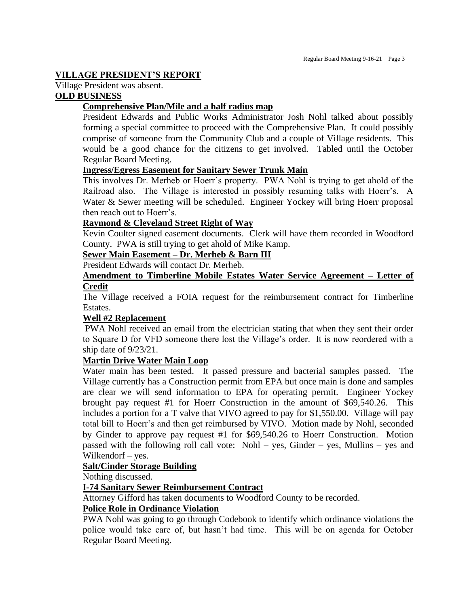## **VILLAGE PRESIDENT'S REPORT**

Village President was absent.

# **OLD BUSINESS**

# **Comprehensive Plan/Mile and a half radius map**

President Edwards and Public Works Administrator Josh Nohl talked about possibly forming a special committee to proceed with the Comprehensive Plan. It could possibly comprise of someone from the Community Club and a couple of Village residents. This would be a good chance for the citizens to get involved. Tabled until the October Regular Board Meeting.

## **Ingress/Egress Easement for Sanitary Sewer Trunk Main**

This involves Dr. Merheb or Hoerr's property. PWA Nohl is trying to get ahold of the Railroad also. The Village is interested in possibly resuming talks with Hoerr's. A Water & Sewer meeting will be scheduled. Engineer Yockey will bring Hoerr proposal then reach out to Hoerr's.

## **Raymond & Cleveland Street Right of Way**

Kevin Coulter signed easement documents. Clerk will have them recorded in Woodford County. PWA is still trying to get ahold of Mike Kamp.

# **Sewer Main Easement – Dr. Merheb & Barn III**

President Edwards will contact Dr. Merheb.

#### **Amendment to Timberline Mobile Estates Water Service Agreement – Letter of Credit**

The Village received a FOIA request for the reimbursement contract for Timberline Estates.

## **Well #2 Replacement**

PWA Nohl received an email from the electrician stating that when they sent their order to Square D for VFD someone there lost the Village's order. It is now reordered with a ship date of 9/23/21.

## **Martin Drive Water Main Loop**

Water main has been tested. It passed pressure and bacterial samples passed. The Village currently has a Construction permit from EPA but once main is done and samples are clear we will send information to EPA for operating permit. Engineer Yockey brought pay request #1 for Hoerr Construction in the amount of \$69,540.26. This includes a portion for a T valve that VIVO agreed to pay for \$1,550.00. Village will pay total bill to Hoerr's and then get reimbursed by VIVO. Motion made by Nohl, seconded by Ginder to approve pay request #1 for \$69,540.26 to Hoerr Construction. Motion passed with the following roll call vote: Nohl – yes, Ginder – yes, Mullins – yes and Wilkendorf – yes.

## **Salt/Cinder Storage Building**

Nothing discussed.

## **I-74 Sanitary Sewer Reimbursement Contract**

Attorney Gifford has taken documents to Woodford County to be recorded.

## **Police Role in Ordinance Violation**

PWA Nohl was going to go through Codebook to identify which ordinance violations the police would take care of, but hasn't had time. This will be on agenda for October Regular Board Meeting.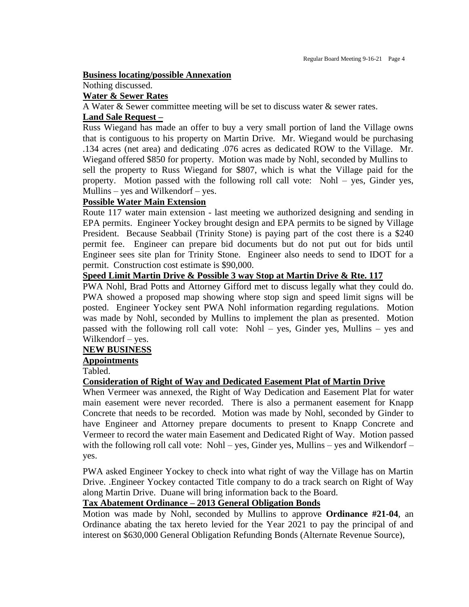#### **Business locating/possible Annexation**

#### Nothing discussed.

## **Water & Sewer Rates**

A Water & Sewer committee meeting will be set to discuss water & sewer rates.

## **Land Sale Request –**

Russ Wiegand has made an offer to buy a very small portion of land the Village owns that is contiguous to his property on Martin Drive. Mr. Wiegand would be purchasing .134 acres (net area) and dedicating .076 acres as dedicated ROW to the Village. Mr. Wiegand offered \$850 for property. Motion was made by Nohl, seconded by Mullins to sell the property to Russ Wiegand for \$807, which is what the Village paid for the property. Motion passed with the following roll call vote: Nohl – yes, Ginder yes, Mullins – yes and Wilkendorf – yes.

## **Possible Water Main Extension**

Route 117 water main extension - last meeting we authorized designing and sending in EPA permits. Engineer Yockey brought design and EPA permits to be signed by Village President. Because Seabbail (Trinity Stone) is paying part of the cost there is a \$240 permit fee. Engineer can prepare bid documents but do not put out for bids until Engineer sees site plan for Trinity Stone. Engineer also needs to send to IDOT for a permit. Construction cost estimate is \$90,000.

## **Speed Limit Martin Drive & Possible 3 way Stop at Martin Drive & Rte. 117**

PWA Nohl, Brad Potts and Attorney Gifford met to discuss legally what they could do. PWA showed a proposed map showing where stop sign and speed limit signs will be posted. Engineer Yockey sent PWA Nohl information regarding regulations. Motion was made by Nohl, seconded by Mullins to implement the plan as presented. Motion passed with the following roll call vote: Nohl – yes, Ginder yes, Mullins – yes and Wilkendorf – yes.

## **NEW BUSINESS**

## **Appointments**

Tabled.

## **Consideration of Right of Way and Dedicated Easement Plat of Martin Drive**

When Vermeer was annexed, the Right of Way Dedication and Easement Plat for water main easement were never recorded. There is also a permanent easement for Knapp Concrete that needs to be recorded. Motion was made by Nohl, seconded by Ginder to have Engineer and Attorney prepare documents to present to Knapp Concrete and Vermeer to record the water main Easement and Dedicated Right of Way. Motion passed with the following roll call vote: Nohl – yes, Ginder yes, Mullins – yes and Wilkendorf – yes.

PWA asked Engineer Yockey to check into what right of way the Village has on Martin Drive. .Engineer Yockey contacted Title company to do a track search on Right of Way along Martin Drive. Duane will bring information back to the Board.

## **Tax Abatement Ordinance – 2013 General Obligation Bonds**

Motion was made by Nohl, seconded by Mullins to approve **Ordinance #21-04**, an Ordinance abating the tax hereto levied for the Year 2021 to pay the principal of and interest on \$630,000 General Obligation Refunding Bonds (Alternate Revenue Source),